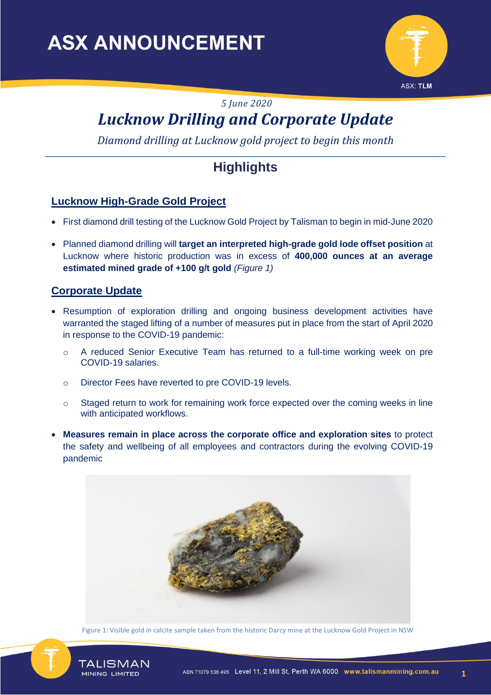

*5 June 2020*

# *Lucknow Drilling and Corporate Update*

*Diamond drilling at Lucknow gold project to begin this month*

## **Highlights**

#### **Lucknow High-Grade Gold Project**

- First diamond drill testing of the Lucknow Gold Project by Talisman to begin in mid-June 2020
- Planned diamond drilling will **target an interpreted high-grade gold lode offset position** at Lucknow where historic production was in excess of **400,000 ounces at an average estimated mined grade of +100 g/t gold** *(Figure 1)*

#### **Corporate Update**

- Resumption of exploration drilling and ongoing business development activities have warranted the staged lifting of a number of measures put in place from the start of April 2020 in response to the COVID-19 pandemic:
	- o A reduced Senior Executive Team has returned to a full-time working week on pre COVID-19 salaries.
	- o Director Fees have reverted to pre COVID-19 levels.
	- $\circ$  Staged return to work for remaining work force expected over the coming weeks in line with anticipated workflows.
- **Measures remain in place across the corporate office and exploration sites** to protect the safety and wellbeing of all employees and contractors during the evolving COVID-19 pandemic



Figure 1: Visible gold in calcite sample taken from the historic Darcy mine at the Lucknow Gold Project in NSW



TALISMAN

MINING LIMITED

**1**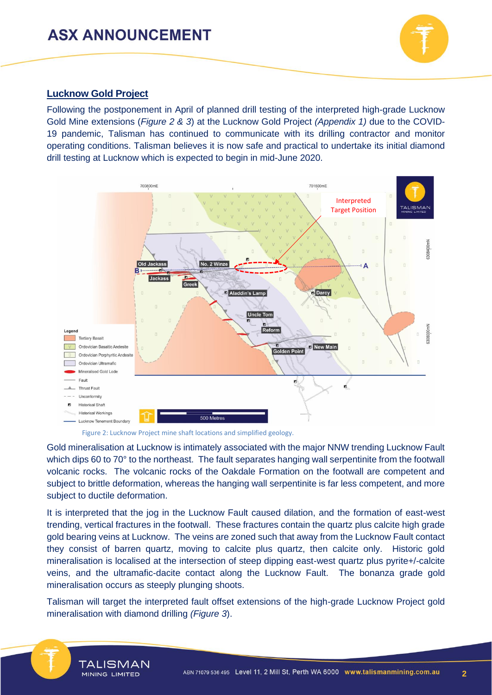

#### **Lucknow Gold Project**

Following the postponement in April of planned drill testing of the interpreted high-grade Lucknow Gold Mine extensions (*Figure 2 & 3*) at the Lucknow Gold Project *(Appendix 1)* due to the COVID-19 pandemic, Talisman has continued to communicate with its drilling contractor and monitor operating conditions. Talisman believes it is now safe and practical to undertake its initial diamond drill testing at Lucknow which is expected to begin in mid-June 2020.



Figure 2: Lucknow Project mine shaft locations and simplified geology.

Gold mineralisation at Lucknow is intimately associated with the major NNW trending Lucknow Fault which dips 60 to 70° to the northeast. The fault separates hanging wall serpentinite from the footwall volcanic rocks. The volcanic rocks of the Oakdale Formation on the footwall are competent and subject to brittle deformation, whereas the hanging wall serpentinite is far less competent, and more subject to ductile deformation.

It is interpreted that the jog in the Lucknow Fault caused dilation, and the formation of east-west trending, vertical fractures in the footwall. These fractures contain the quartz plus calcite high grade gold bearing veins at Lucknow. The veins are zoned such that away from the Lucknow Fault contact they consist of barren quartz, moving to calcite plus quartz, then calcite only. Historic gold mineralisation is localised at the intersection of steep dipping east-west quartz plus pyrite+/-calcite veins, and the ultramafic-dacite contact along the Lucknow Fault. The bonanza grade gold mineralisation occurs as steeply plunging shoots.

Talisman will target the interpreted fault offset extensions of the high-grade Lucknow Project gold mineralisation with diamond drilling *(Figure 3*).

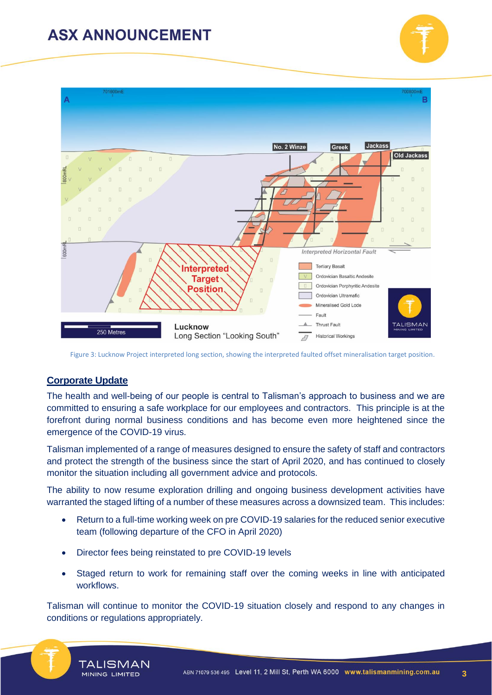



Figure 3: Lucknow Project interpreted long section, showing the interpreted faulted offset mineralisation target position.

#### **Corporate Update**

The health and well-being of our people is central to Talisman's approach to business and we are committed to ensuring a safe workplace for our employees and contractors. This principle is at the forefront during normal business conditions and has become even more heightened since the emergence of the COVID-19 virus.

Talisman implemented of a range of measures designed to ensure the safety of staff and contractors and protect the strength of the business since the start of April 2020, and has continued to closely monitor the situation including all government advice and protocols.

The ability to now resume exploration drilling and ongoing business development activities have warranted the staged lifting of a number of these measures across a downsized team. This includes:

- Return to a full-time working week on pre COVID-19 salaries for the reduced senior executive team (following departure of the CFO in April 2020)
- Director fees being reinstated to pre COVID-19 levels
- Staged return to work for remaining staff over the coming weeks in line with anticipated workflows.

Talisman will continue to monitor the COVID-19 situation closely and respond to any changes in conditions or regulations appropriately.



**3**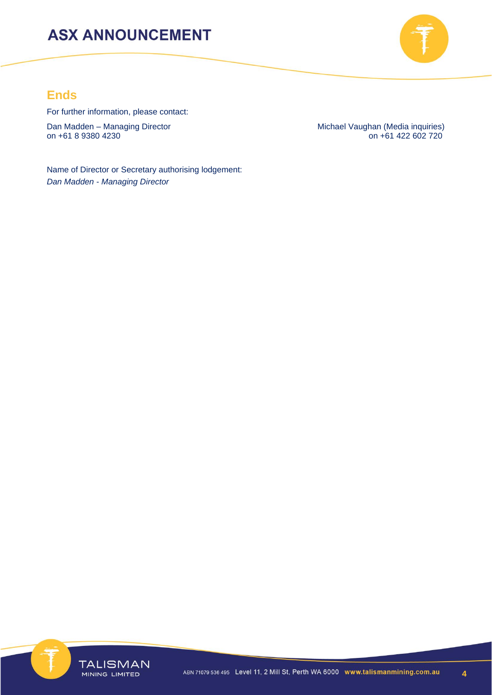

### **Ends**

For further information, please contact:

Dan Madden – Managing Director Managing Director Michael Vaughan (Media inquiries)<br>on +61 8 9380 4230 on +61 422 602 720

 $\overline{0}$  on +61 422 602 720

Name of Director or Secretary authorising lodgement: *Dan Madden - Managing Director*

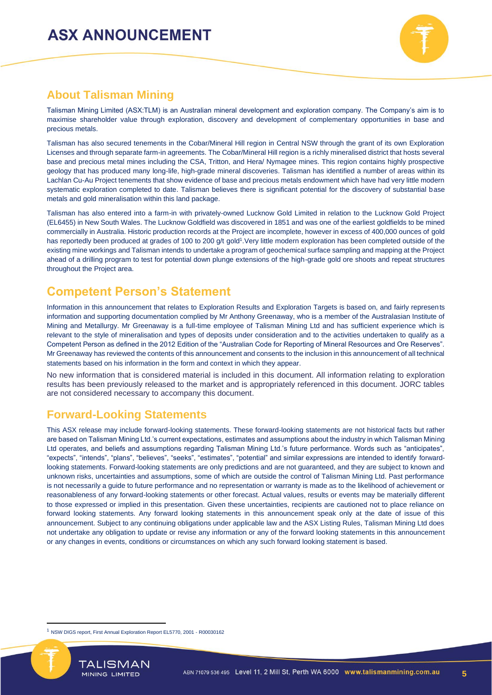

### **About Talisman Mining**

Talisman Mining Limited (ASX:TLM) is an Australian mineral development and exploration company. The Company's aim is to maximise shareholder value through exploration, discovery and development of complementary opportunities in base and precious metals.

Talisman has also secured tenements in the Cobar/Mineral Hill region in Central NSW through the grant of its own Exploration Licenses and through separate farm-in agreements. The Cobar/Mineral Hill region is a richly mineralised district that hosts several base and precious metal mines including the CSA, Tritton, and Hera/ Nymagee mines. This region contains highly prospective geology that has produced many long-life, high-grade mineral discoveries. Talisman has identified a number of areas within its Lachlan Cu-Au Project tenements that show evidence of base and precious metals endowment which have had very little modern systematic exploration completed to date. Talisman believes there is significant potential for the discovery of substantial base metals and gold mineralisation within this land package.

Talisman has also entered into a farm-in with privately-owned Lucknow Gold Limited in relation to the Lucknow Gold Project (EL6455) in New South Wales. The Lucknow Goldfield was discovered in 1851 and was one of the earliest goldfields to be mined commercially in Australia. Historic production records at the Project are incomplete, however in excess of 400,000 ounces of gold has reportedly been produced at grades of 100 to 200 g/t gold<sup>1</sup>. Very little modern exploration has been completed outside of the existing mine workings and Talisman intends to undertake a program of geochemical surface sampling and mapping at the Project ahead of a drilling program to test for potential down plunge extensions of the high-grade gold ore shoots and repeat structures throughout the Project area.

### **Competent Person's Statement**

Information in this announcement that relates to Exploration Results and Exploration Targets is based on, and fairly represents information and supporting documentation complied by Mr Anthony Greenaway, who is a member of the Australasian Institute of Mining and Metallurgy. Mr Greenaway is a full-time employee of Talisman Mining Ltd and has sufficient experience which is relevant to the style of mineralisation and types of deposits under consideration and to the activities undertaken to qualify as a Competent Person as defined in the 2012 Edition of the "Australian Code for Reporting of Mineral Resources and Ore Reserves". Mr Greenaway has reviewed the contents of this announcement and consents to the inclusion in this announcement of all technical statements based on his information in the form and context in which they appear.

No new information that is considered material is included in this document. All information relating to exploration results has been previously released to the market and is appropriately referenced in this document. JORC tables are not considered necessary to accompany this document.

#### **Forward-Looking Statements**

This ASX release may include forward-looking statements. These forward-looking statements are not historical facts but rather are based on Talisman Mining Ltd.'s current expectations, estimates and assumptions about the industry in which Talisman Mining Ltd operates, and beliefs and assumptions regarding Talisman Mining Ltd.'s future performance. Words such as "anticipates", "expects", "intends", "plans", "believes", "seeks", "estimates", "potential" and similar expressions are intended to identify forwardlooking statements. Forward-looking statements are only predictions and are not guaranteed, and they are subject to known and unknown risks, uncertainties and assumptions, some of which are outside the control of Talisman Mining Ltd. Past performance is not necessarily a guide to future performance and no representation or warranty is made as to the likelihood of achievement or reasonableness of any forward-looking statements or other forecast. Actual values, results or events may be materially different to those expressed or implied in this presentation. Given these uncertainties, recipients are cautioned not to place reliance on forward looking statements. Any forward looking statements in this announcement speak only at the date of issue of this announcement. Subject to any continuing obligations under applicable law and the ASX Listing Rules, Talisman Mining Ltd does not undertake any obligation to update or revise any information or any of the forward looking statements in this announcement or any changes in events, conditions or circumstances on which any such forward looking statement is based.

<sup>1</sup> NSW DIGS report, First Annual Exploration Report EL5770, 2001 - R00030162